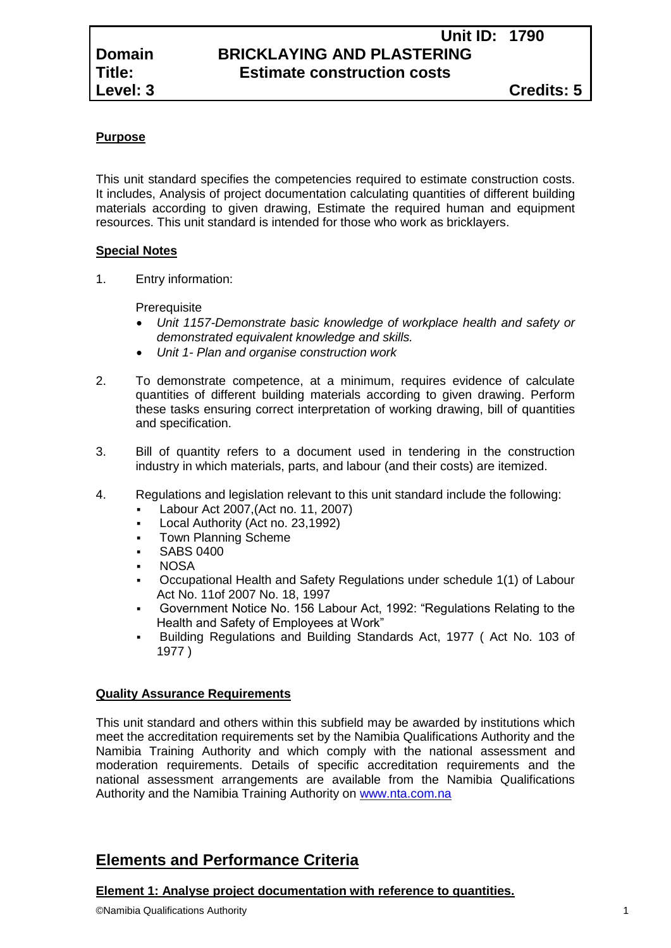# **Unit ID: 1790 Domain BRICKLAYING AND PLASTERING Title: Estimate construction costs**

## **Purpose**

This unit standard specifies the competencies required to estimate construction costs. It includes, Analysis of project documentation calculating quantities of different building materials according to given drawing, Estimate the required human and equipment resources. This unit standard is intended for those who work as bricklayers.

### **Special Notes**

1. Entry information:

**Prerequisite** 

- *Unit 1157-Demonstrate basic knowledge of workplace health and safety or demonstrated equivalent knowledge and skills.*
- *Unit 1- Plan and organise construction work*
- 2. To demonstrate competence, at a minimum, requires evidence of calculate quantities of different building materials according to given drawing. Perform these tasks ensuring correct interpretation of working drawing, bill of quantities and specification.
- 3. Bill of quantity refers to a document used in tendering in the construction industry in which materials, parts, and labour (and their costs) are itemized.
- 4. Regulations and legislation relevant to this unit standard include the following:
	- Labour Act 2007,(Act no. 11, 2007)
	- Local Authority (Act no. 23,1992)
	- Town Planning Scheme
	- SABS 0400
	- **NOSA**
	- Occupational Health and Safety Regulations under schedule 1(1) of Labour Act No. 11of 2007 No. 18, 1997
	- Government Notice No. 156 Labour Act, 1992: "Regulations Relating to the Health and Safety of Employees at Work"
	- Building Regulations and Building Standards Act, 1977 ( Act No. 103 of 1977 )

## **Quality Assurance Requirements**

This unit standard and others within this subfield may be awarded by institutions which meet the accreditation requirements set by the Namibia Qualifications Authority and the Namibia Training Authority and which comply with the national assessment and moderation requirements. Details of specific accreditation requirements and the national assessment arrangements are available from the Namibia Qualifications Authority and the Namibia Training Authority on [www.nta.com.na](http://www.nta.com.na/)

# **Elements and Performance Criteria**

#### **Element 1: Analyse project documentation with reference to quantities.**